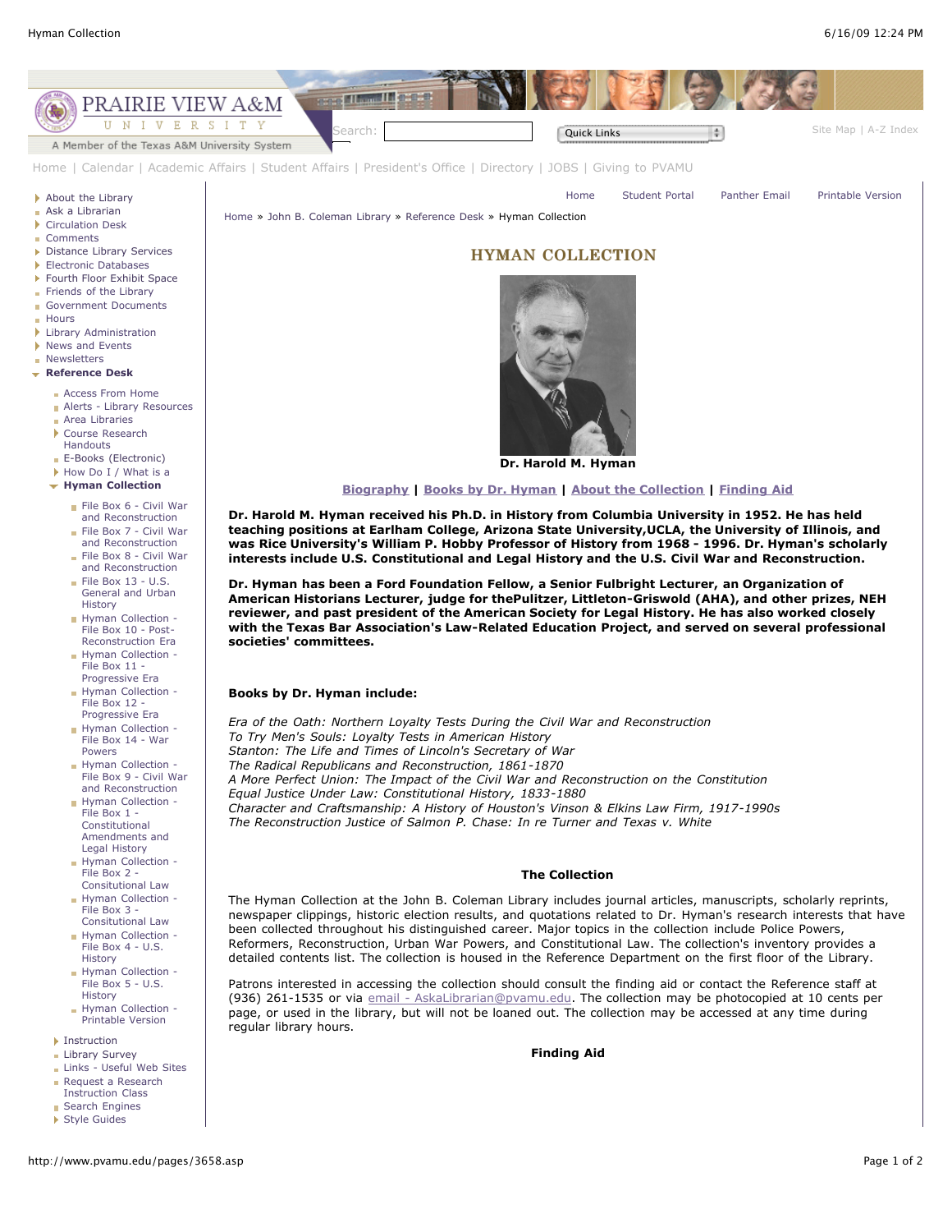